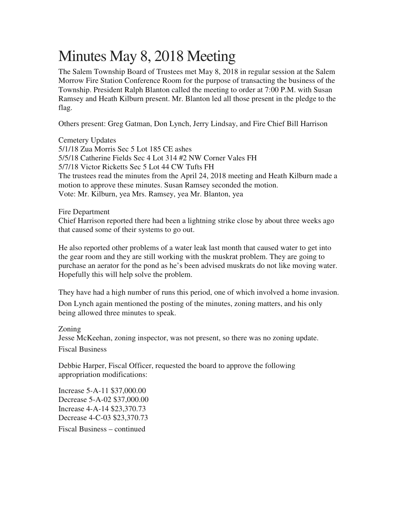## Minutes May 8, 2018 Meeting

The Salem Township Board of Trustees met May 8, 2018 in regular session at the Salem Morrow Fire Station Conference Room for the purpose of transacting the business of the Township. President Ralph Blanton called the meeting to order at 7:00 P.M. with Susan Ramsey and Heath Kilburn present. Mr. Blanton led all those present in the pledge to the flag.

Others present: Greg Gatman, Don Lynch, Jerry Lindsay, and Fire Chief Bill Harrison

Cemetery Updates 5/1/18 Zua Morris Sec 5 Lot 185 CE ashes 5/5/18 Catherine Fields Sec 4 Lot 314 #2 NW Corner Vales FH 5/7/18 Victor Ricketts Sec 5 Lot 44 CW Tufts FH The trustees read the minutes from the April 24, 2018 meeting and Heath Kilburn made a motion to approve these minutes. Susan Ramsey seconded the motion. Vote: Mr. Kilburn, yea Mrs. Ramsey, yea Mr. Blanton, yea

## Fire Department

Chief Harrison reported there had been a lightning strike close by about three weeks ago that caused some of their systems to go out.

He also reported other problems of a water leak last month that caused water to get into the gear room and they are still working with the muskrat problem. They are going to purchase an aerator for the pond as he's been advised muskrats do not like moving water. Hopefully this will help solve the problem.

They have had a high number of runs this period, one of which involved a home invasion. Don Lynch again mentioned the posting of the minutes, zoning matters, and his only being allowed three minutes to speak.

## Zoning

Jesse McKeehan, zoning inspector, was not present, so there was no zoning update.

Fiscal Business

Debbie Harper, Fiscal Officer, requested the board to approve the following appropriation modifications:

Increase 5-A-11 \$37,000.00 Decrease 5-A-02 \$37,000.00 Increase 4-A-14 \$23,370.73 Decrease 4-C-03 \$23,370.73

Fiscal Business – continued